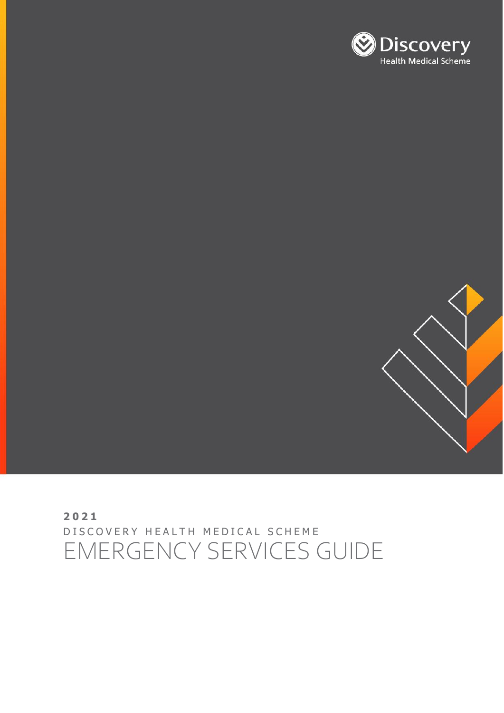# **2 0 2 1** D I S C O V E R Y H E A L T H M E D I C A L S C H E M E EMERGENCY SERVICES GUIDE



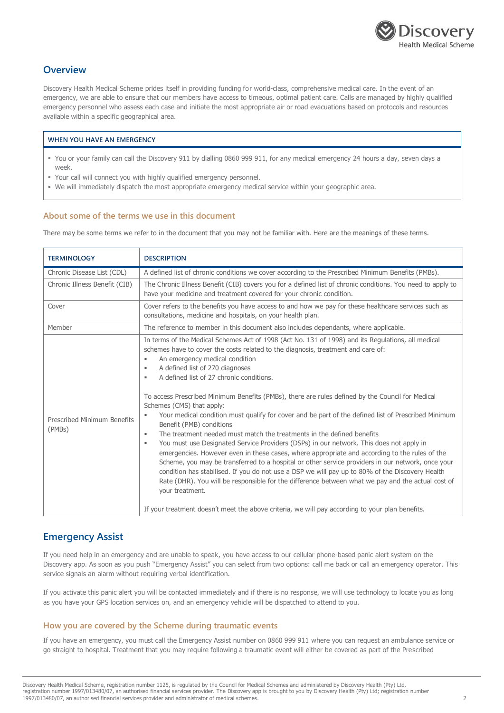

### **Overview**

Discovery Health Medical Scheme prides itself in providing funding for world-class, comprehensive medical care. In the event of an emergency, we are able to ensure that our members have access to timeous, optimal patient care. Calls are managed by highly qualified emergency personnel who assess each case and initiate the most appropriate air or road evacuations based on protocols and resources available within a specific geographical area.

#### **WHEN YOU HAVE AN EMERGENCY**

- You or your family can call the Discovery 911 by dialling 0860 999 911, for any medical emergency 24 hours a day, seven days a week.
- Your call will connect you with highly qualified emergency personnel.
- We will immediately dispatch the most appropriate emergency medical service within your geographic area.

#### **About some of the terms we use in this document**

There may be some terms we refer to in the document that you may not be familiar with. Here are the meanings of these terms.

| <b>TERMINOLOGY</b>                                                     | <b>DESCRIPTION</b>                                                                                                                                                                                                                                                                                                                                                                                                                                                                                                                                                                                                                                                                                                                                                                                                                                                                                                                                                                                                                                                                                                                                                                |
|------------------------------------------------------------------------|-----------------------------------------------------------------------------------------------------------------------------------------------------------------------------------------------------------------------------------------------------------------------------------------------------------------------------------------------------------------------------------------------------------------------------------------------------------------------------------------------------------------------------------------------------------------------------------------------------------------------------------------------------------------------------------------------------------------------------------------------------------------------------------------------------------------------------------------------------------------------------------------------------------------------------------------------------------------------------------------------------------------------------------------------------------------------------------------------------------------------------------------------------------------------------------|
| Chronic Disease List (CDL)                                             | A defined list of chronic conditions we cover according to the Prescribed Minimum Benefits (PMBs).                                                                                                                                                                                                                                                                                                                                                                                                                                                                                                                                                                                                                                                                                                                                                                                                                                                                                                                                                                                                                                                                                |
| Chronic Illness Benefit (CIB)                                          | The Chronic Illness Benefit (CIB) covers you for a defined list of chronic conditions. You need to apply to<br>have your medicine and treatment covered for your chronic condition.                                                                                                                                                                                                                                                                                                                                                                                                                                                                                                                                                                                                                                                                                                                                                                                                                                                                                                                                                                                               |
| Cover                                                                  | Cover refers to the benefits you have access to and how we pay for these healthcare services such as<br>consultations, medicine and hospitals, on your health plan.                                                                                                                                                                                                                                                                                                                                                                                                                                                                                                                                                                                                                                                                                                                                                                                                                                                                                                                                                                                                               |
| Member                                                                 | The reference to member in this document also includes dependants, where applicable.                                                                                                                                                                                                                                                                                                                                                                                                                                                                                                                                                                                                                                                                                                                                                                                                                                                                                                                                                                                                                                                                                              |
| ٠<br>$\blacksquare$<br>Prescribed Minimum Benefits<br>(PMBs)<br>٠<br>٠ | In terms of the Medical Schemes Act of 1998 (Act No. 131 of 1998) and its Regulations, all medical<br>schemes have to cover the costs related to the diagnosis, treatment and care of:<br>An emergency medical condition<br>A defined list of 270 diagnoses<br>A defined list of 27 chronic conditions.<br>To access Prescribed Minimum Benefits (PMBs), there are rules defined by the Council for Medical<br>Schemes (CMS) that apply:<br>Your medical condition must qualify for cover and be part of the defined list of Prescribed Minimum<br>Benefit (PMB) conditions<br>The treatment needed must match the treatments in the defined benefits<br>You must use Designated Service Providers (DSPs) in our network. This does not apply in<br>emergencies. However even in these cases, where appropriate and according to the rules of the<br>Scheme, you may be transferred to a hospital or other service providers in our network, once your<br>condition has stabilised. If you do not use a DSP we will pay up to 80% of the Discovery Health<br>Rate (DHR). You will be responsible for the difference between what we pay and the actual cost of<br>your treatment. |
|                                                                        | If your treatment doesn't meet the above criteria, we will pay according to your plan benefits.                                                                                                                                                                                                                                                                                                                                                                                                                                                                                                                                                                                                                                                                                                                                                                                                                                                                                                                                                                                                                                                                                   |

### **Emergency Assist**

If you need help in an emergency and are unable to speak, you have access to our cellular phone-based panic alert system on the Discovery app. As soon as you push "Emergency Assist" you can select from two options: call me back or call an emergency operator. This service signals an alarm without requiring verbal identification.

If you activate this panic alert you will be contacted immediately and if there is no response, we will use technology to locate you as long as you have your GPS location services on, and an emergency vehicle will be dispatched to attend to you.

#### **How you are covered by the Scheme during traumatic events**

If you have an emergency, you must call the Emergency Assist number on 0860 999 911 where you can request an ambulance service or go straight to hospital. Treatment that you may require following a traumatic event will either be covered as part of the Prescribed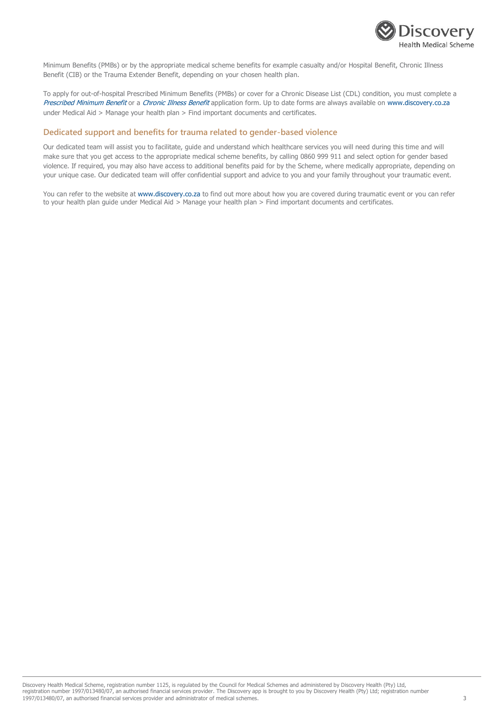

Minimum Benefits (PMBs) or by the appropriate medical scheme benefits for example casualty and/or Hospital Benefit, Chronic Illness Benefit (CIB) or the Trauma Extender Benefit, depending on your chosen health plan.

To apply for out-of-hospital Prescribed Minimum Benefits (PMBs) or cover for a Chronic Disease List (CDL) condition, you must complete a Prescribed Minimum Benefit or a Chronic Illness Benefit application form. Up to date forms are always available on [www.discovery.co.za](http://www.discovery.co.za/) under Medical Aid > Manage your health plan > Find important documents and certificates.

#### **Dedicated support and benefits for trauma related to gender-based violence**

Our dedicated team will assist you to facilitate, guide and understand which healthcare services you will need during this time and will make sure that you get access to the appropriate medical scheme benefits, by calling 0860 999 911 and select option for gender based violence. If required, you may also have access to additional benefits paid for by the Scheme, where medically appropriate, depending on your unique case. Our dedicated team will offer confidential support and advice to you and your family throughout your traumatic event.

You can refer to the website at [www.discovery.co.za](http://www.discovery.co.za/) to find out more about how you are covered during traumatic event or you can refer to your health plan guide under Medical Aid > Manage your health plan > Find important documents and certificates.

Discovery Health Medical Scheme, registration number 1125, is regulated by the Council for Medical Schemes and administered by Discovery Health (Pty) Ltd, registration number 1997/013480/07, an authorised financial services provider. The Discovery app is brought to you by Discovery Health (Pty) Ltd; registration number 1997/013480/07, an authorised financial services provider and administrator of medical schemes. 3